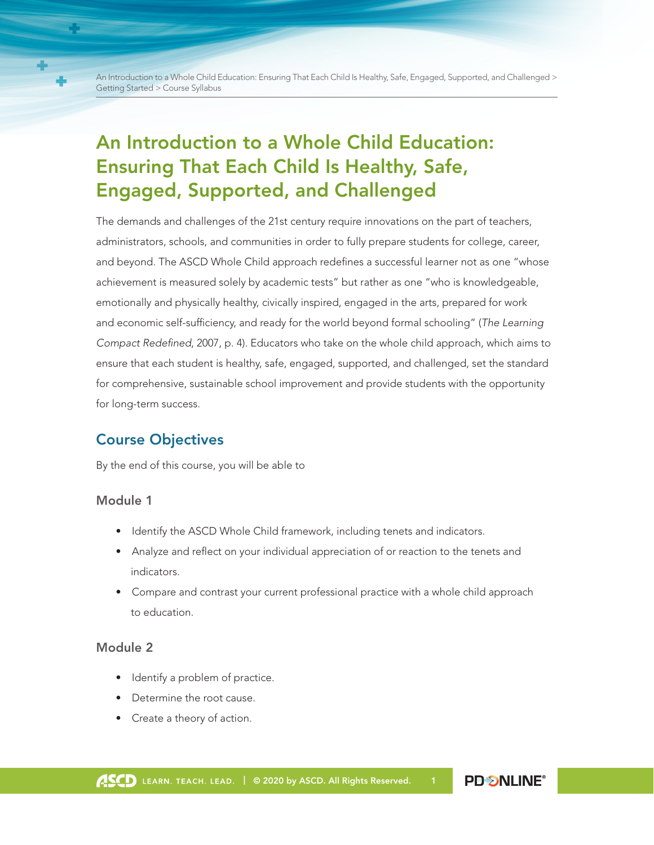An Introduction to a Whole Child Education: Ensuring That Each Child Is Healthy, Safe, Engaged, Supported, and Challenged > Getting Started > Course Syllabus

# An Introduction to a Whole Child Education: Ensuring That Each Child Is Healthy, Safe, Engaged, Supported, and Challenged

The demands and challenges of the 21st century require innovations on the part of teachers, administrators, schools, and communities in order to fully prepare students for college, career, and beyond. The ASCD Whole Child approach redefines a successful learner not as one "whose achievement is measured solely by academic tests" but rather as one "who is knowledgeable, emotionally and physically healthy, civically inspired, engaged in the arts, prepared for work and economic self-sufficiency, and ready for the world beyond formal schooling" (*The Learning Compact Redefined*, 2007, p. 4). Educators who take on the whole child approach, which aims to ensure that each student is healthy, safe, engaged, supported, and challenged, set the standard for comprehensive, sustainable school improvement and provide students with the opportunity for long-term success.

## Course Objectives

By the end of this course, you will be able to

#### Module 1

- Identify the ASCD Whole Child framework, including tenets and indicators.
- Analyze and reflect on your individual appreciation of or reaction to the tenets and indicators.
- Compare and contrast your current professional practice with a whole child approach to education.

#### Module 2

- Identify a problem of practice.
- Determine the root cause.
- Create a theory of action.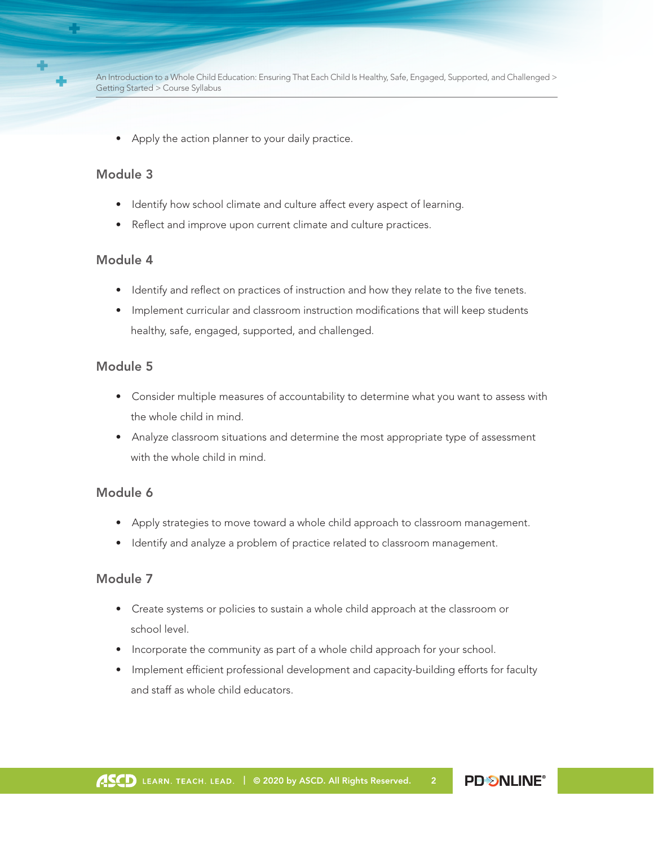

An Introduction to a Whole Child Education: Ensuring That Each Child Is Healthy, Safe, Engaged, Supported, and Challenged > Getting Started > Course Syllabus

• Apply the action planner to your daily practice.

#### Module 3

- Identify how school climate and culture affect every aspect of learning.
- Reflect and improve upon current climate and culture practices.

#### Module 4

- Identify and reflect on practices of instruction and how they relate to the five tenets.
- Implement curricular and classroom instruction modifications that will keep students healthy, safe, engaged, supported, and challenged.

#### Module 5

- Consider multiple measures of accountability to determine what you want to assess with the whole child in mind.
- Analyze classroom situations and determine the most appropriate type of assessment with the whole child in mind.

#### Module 6

- Apply strategies to move toward a whole child approach to classroom management.
- Identify and analyze a problem of practice related to classroom management.

#### Module 7

- Create systems or policies to sustain a whole child approach at the classroom or school level.
- Incorporate the community as part of a whole child approach for your school.
- Implement efficient professional development and capacity-building efforts for faculty and staff as whole child educators.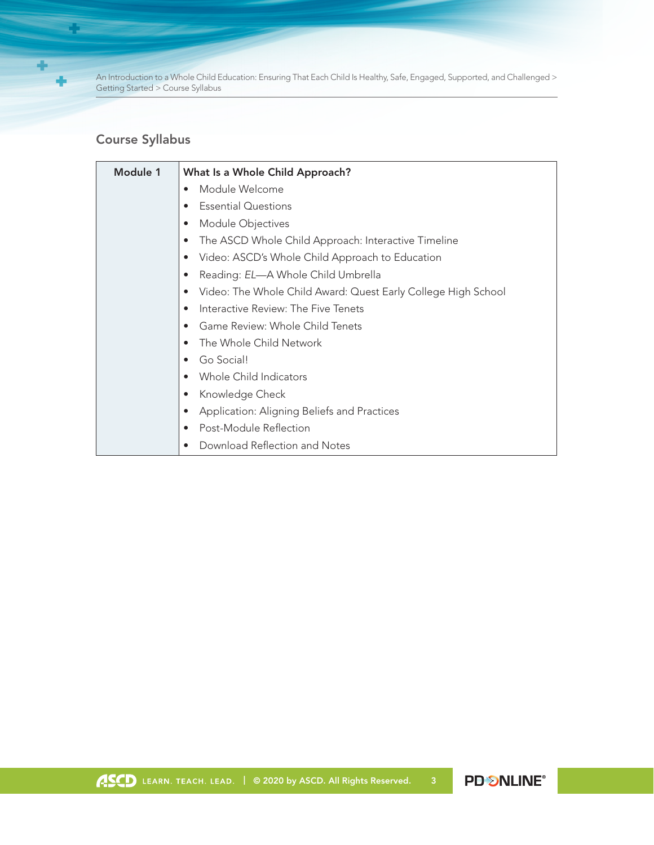

**Change** 

An Introduction to a Whole Child Education: Ensuring That Each Child Is Healthy, Safe, Engaged, Supported, and Challenged > Getting Started > Course Syllabus

### Course Syllabus

| Module 1 | What Is a Whole Child Approach?                                            |
|----------|----------------------------------------------------------------------------|
|          | Module Welcome<br>$\bullet$                                                |
|          | <b>Essential Questions</b><br>$\bullet$                                    |
|          | Module Objectives<br>$\bullet$                                             |
|          | The ASCD Whole Child Approach: Interactive Timeline<br>$\bullet$           |
|          | Video: ASCD's Whole Child Approach to Education<br>$\bullet$               |
|          | Reading: EL-A Whole Child Umbrella<br>$\bullet$                            |
|          | Video: The Whole Child Award: Quest Early College High School<br>$\bullet$ |
|          | Interactive Review: The Five Tenets<br>$\bullet$                           |
|          | Game Review: Whole Child Tenets<br>$\bullet$                               |
|          | The Whole Child Network<br>$\bullet$                                       |
|          | Go Social!<br>$\bullet$                                                    |
|          | Whole Child Indicators<br>$\bullet$                                        |
|          | Knowledge Check<br>$\bullet$                                               |
|          | Application: Aligning Beliefs and Practices<br>$\bullet$                   |
|          | Post-Module Reflection<br>$\bullet$                                        |
|          | Download Reflection and Notes<br>$\bullet$                                 |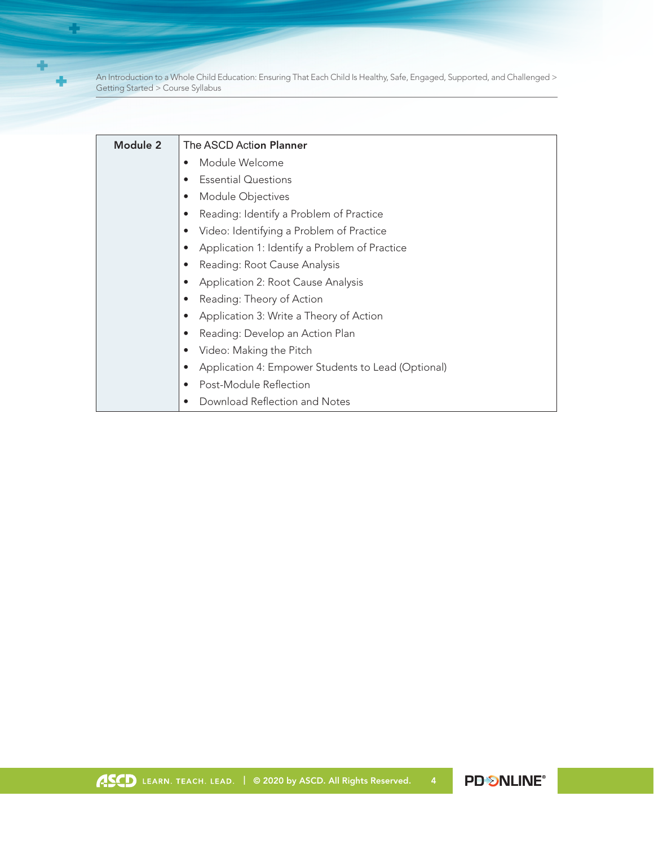÷ ÷

**Change** 

| Module 2 | The ASCD Action Planner                                         |
|----------|-----------------------------------------------------------------|
|          | Module Welcome                                                  |
|          | <b>Essential Questions</b>                                      |
|          | Module Objectives<br>$\bullet$                                  |
|          | Reading: Identify a Problem of Practice                         |
|          | Video: Identifying a Problem of Practice<br>$\bullet$           |
|          | Application 1: Identify a Problem of Practice                   |
|          | Reading: Root Cause Analysis                                    |
|          | Application 2: Root Cause Analysis<br>$\bullet$                 |
|          | Reading: Theory of Action                                       |
|          | Application 3: Write a Theory of Action<br>$\bullet$            |
|          | Reading: Develop an Action Plan<br>$\bullet$                    |
|          | Video: Making the Pitch                                         |
|          | Application 4: Empower Students to Lead (Optional)<br>$\bullet$ |
|          | Post-Module Reflection                                          |
|          | Download Reflection and Notes                                   |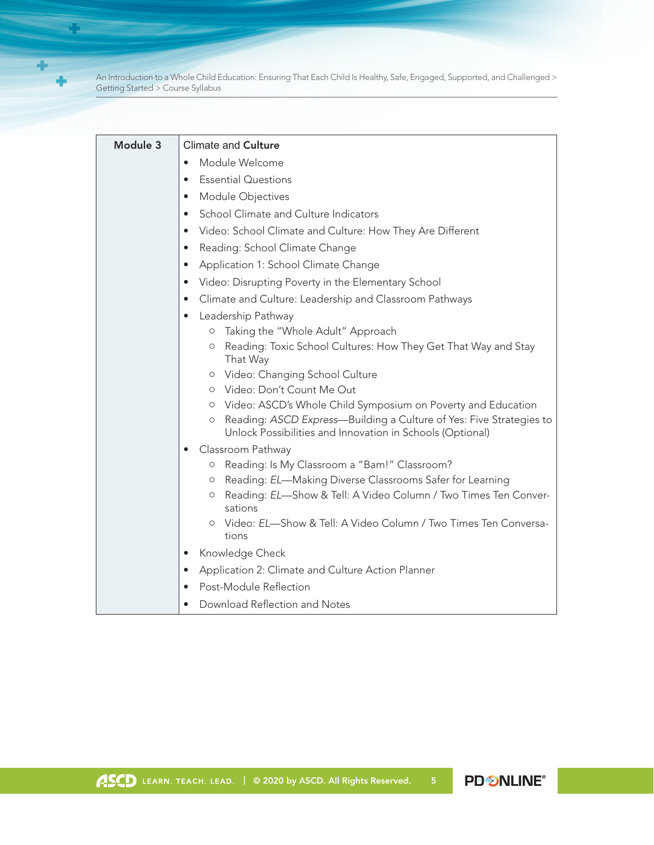÷

a pos

| Module 3 | <b>Climate and Culture</b>                                                                                                                  |
|----------|---------------------------------------------------------------------------------------------------------------------------------------------|
|          | Module Welcome                                                                                                                              |
|          | <b>Essential Questions</b><br>$\bullet$                                                                                                     |
|          | Module Objectives                                                                                                                           |
|          | School Climate and Culture Indicators                                                                                                       |
|          | Video: School Climate and Culture: How They Are Different<br>$\bullet$                                                                      |
|          | Reading: School Climate Change                                                                                                              |
|          | Application 1: School Climate Change<br>$\bullet$                                                                                           |
|          | Video: Disrupting Poverty in the Elementary School<br>$\bullet$                                                                             |
|          | Climate and Culture: Leadership and Classroom Pathways<br>$\bullet$                                                                         |
|          | Leadership Pathway<br>$\bullet$                                                                                                             |
|          | Taking the "Whole Adult" Approach<br>$\circ$                                                                                                |
|          | Reading: Toxic School Cultures: How They Get That Way and Stay<br>$\circ$<br>That Way                                                       |
|          | o Video: Changing School Culture                                                                                                            |
|          | O Video: Don't Count Me Out                                                                                                                 |
|          | Video: ASCD's Whole Child Symposium on Poverty and Education<br>$\circ$                                                                     |
|          | Reading: ASCD Express-Building a Culture of Yes: Five Strategies to<br>$\circ$<br>Unlock Possibilities and Innovation in Schools (Optional) |
|          | Classroom Pathway<br>$\bullet$                                                                                                              |
|          | Reading: Is My Classroom a "Bam!" Classroom?<br>$\circ$                                                                                     |
|          | Reading: EL-Making Diverse Classrooms Safer for Learning<br>$\circ$                                                                         |
|          | Reading: EL-Show & Tell: A Video Column / Two Times Ten Conver-<br>О<br>sations                                                             |
|          | Video: EL-Show & Tell: A Video Column / Two Times Ten Conversa-<br>$\circ$<br>tions                                                         |
|          | Knowledge Check<br>$\bullet$                                                                                                                |
|          | Application 2: Climate and Culture Action Planner<br>$\bullet$                                                                              |
|          | Post-Module Reflection                                                                                                                      |
|          | Download Reflection and Notes                                                                                                               |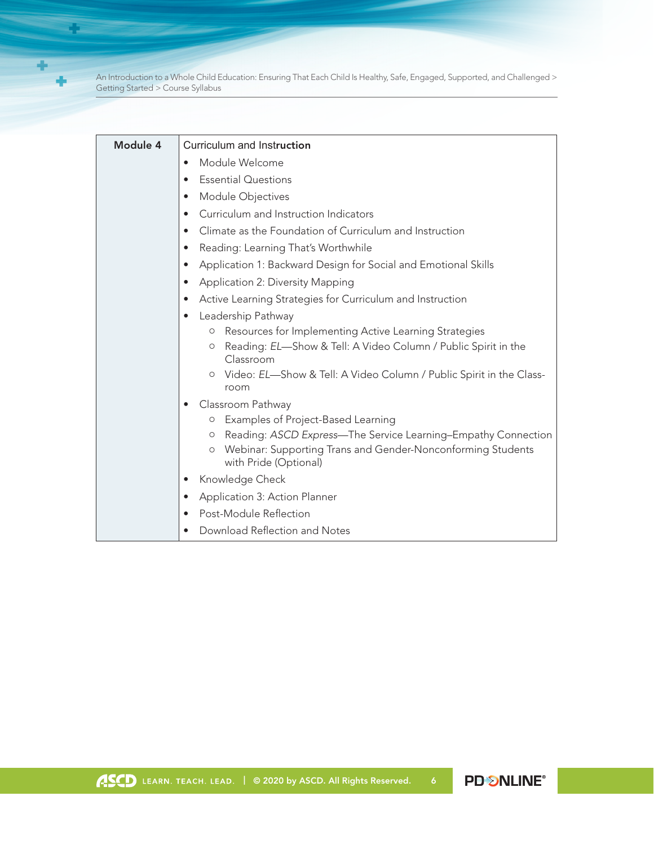÷

**Change** 

| Module 4 | Curriculum and Instruction                                                                |
|----------|-------------------------------------------------------------------------------------------|
|          | Module Welcome<br>$\bullet$                                                               |
|          | <b>Essential Questions</b><br>$\bullet$                                                   |
|          | Module Objectives<br>$\bullet$                                                            |
|          | Curriculum and Instruction Indicators<br>$\bullet$                                        |
|          | Climate as the Foundation of Curriculum and Instruction<br>$\bullet$                      |
|          | Reading: Learning That's Worthwhile<br>$\bullet$                                          |
|          | Application 1: Backward Design for Social and Emotional Skills<br>$\bullet$               |
|          | <b>Application 2: Diversity Mapping</b><br>$\bullet$                                      |
|          | Active Learning Strategies for Curriculum and Instruction<br>$\bullet$                    |
|          | Leadership Pathway<br>$\bullet$                                                           |
|          | Resources for Implementing Active Learning Strategies<br>O                                |
|          | Reading: EL-Show & Tell: A Video Column / Public Spirit in the<br>$\circ$<br>Classroom    |
|          | Video: EL-Show & Tell: A Video Column / Public Spirit in the Class-<br>$\circ$<br>room    |
|          | Classroom Pathway<br>$\bullet$                                                            |
|          | Examples of Project-Based Learning<br>$\circ$                                             |
|          | Reading: ASCD Express-The Service Learning-Empathy Connection<br>$\circ$                  |
|          | Webinar: Supporting Trans and Gender-Nonconforming Students<br>O<br>with Pride (Optional) |
|          | Knowledge Check<br>$\bullet$                                                              |
|          | Application 3: Action Planner<br>$\bullet$                                                |
|          | Post-Module Reflection<br>$\bullet$                                                       |
|          | Download Reflection and Notes                                                             |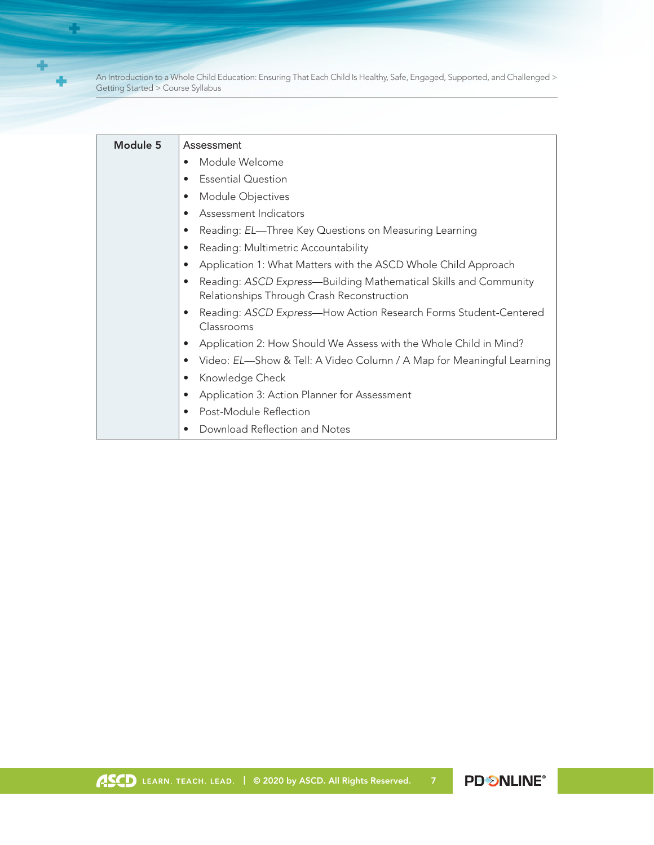÷ ÷

**Change** 

| Module 5 | Assessment                                                                                                                  |
|----------|-----------------------------------------------------------------------------------------------------------------------------|
|          | Module Welcome                                                                                                              |
|          | <b>Essential Question</b><br>$\bullet$                                                                                      |
|          | Module Objectives<br>$\bullet$                                                                                              |
|          | Assessment Indicators<br>$\bullet$                                                                                          |
|          | Reading: EL-Three Key Questions on Measuring Learning<br>$\bullet$                                                          |
|          | Reading: Multimetric Accountability                                                                                         |
|          | Application 1: What Matters with the ASCD Whole Child Approach<br>$\bullet$                                                 |
|          | Reading: ASCD Express-Building Mathematical Skills and Community<br>$\bullet$<br>Relationships Through Crash Reconstruction |
|          | Reading: ASCD Express-How Action Research Forms Student-Centered<br>Classrooms                                              |
|          | Application 2: How Should We Assess with the Whole Child in Mind?                                                           |
|          | Video: EL—Show & Tell: A Video Column / A Map for Meaningful Learning                                                       |
|          | Knowledge Check<br>$\bullet$                                                                                                |
|          | Application 3: Action Planner for Assessment<br>$\bullet$                                                                   |
|          | Post-Module Reflection<br>$\bullet$                                                                                         |
|          | Download Reflection and Notes                                                                                               |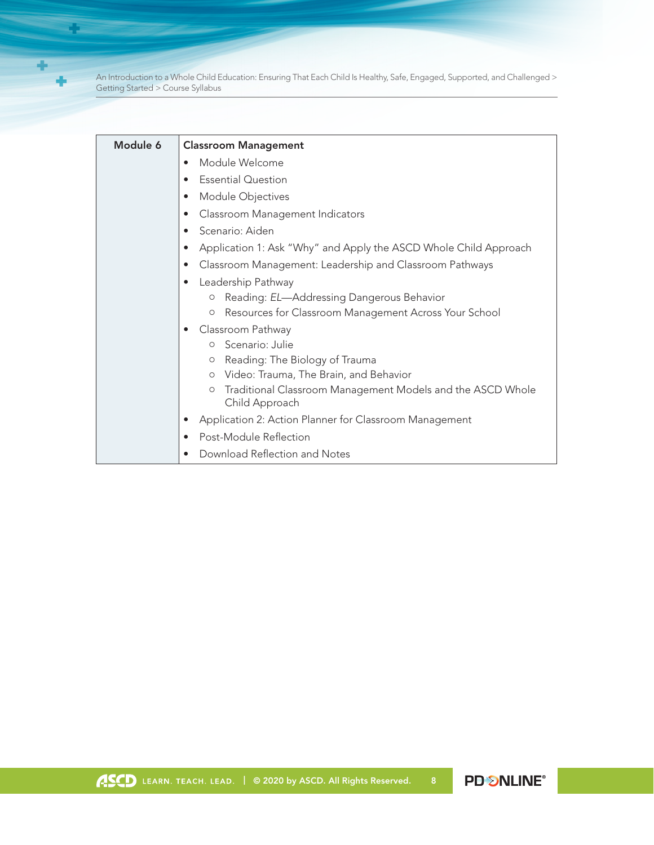$\ddot{}$ ÷

¢.

| Module 6 | <b>Classroom Management</b>                                                     |
|----------|---------------------------------------------------------------------------------|
|          | Module Welcome<br>$\bullet$                                                     |
|          | <b>Essential Question</b><br>$\bullet$                                          |
|          | Module Objectives<br>$\bullet$                                                  |
|          | Classroom Management Indicators<br>$\bullet$                                    |
|          | Scenario: Aiden<br>$\bullet$                                                    |
|          | Application 1: Ask "Why" and Apply the ASCD Whole Child Approach<br>$\bullet$   |
|          | Classroom Management: Leadership and Classroom Pathways<br>$\bullet$            |
|          | Leadership Pathway<br>$\bullet$                                                 |
|          | Reading: EL-Addressing Dangerous Behavior<br>$\circ$                            |
|          | Resources for Classroom Management Across Your School<br>O                      |
|          | Classroom Pathway                                                               |
|          | o Scenario: Julie                                                               |
|          | Reading: The Biology of Trauma<br>O<br>O Video: Trauma, The Brain, and Behavior |
|          | Traditional Classroom Management Models and the ASCD Whole<br>$\circ$           |
|          | Child Approach                                                                  |
|          | Application 2: Action Planner for Classroom Management                          |
|          | Post-Module Reflection<br>$\bullet$                                             |
|          | Download Reflection and Notes                                                   |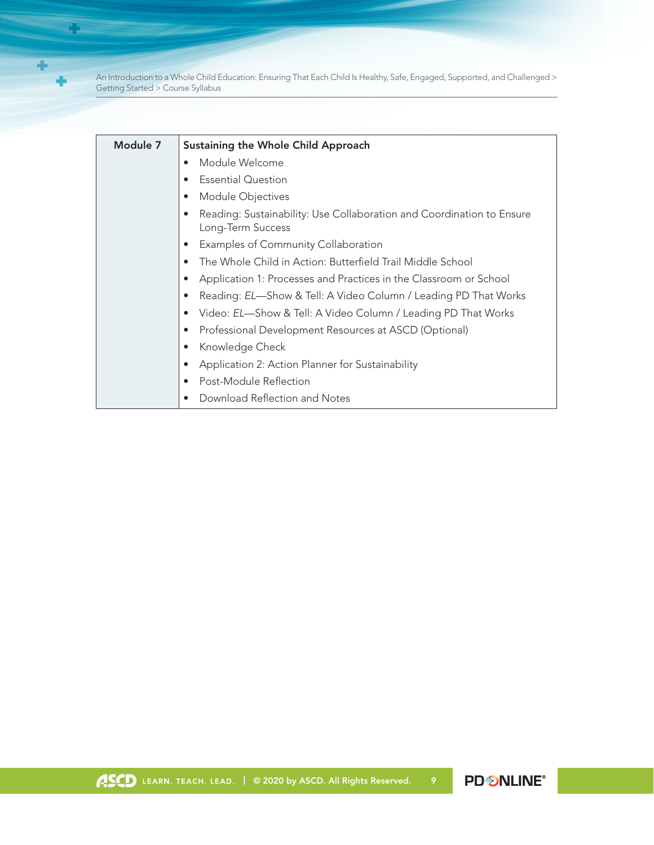÷ ÷

**Participate** 

| Module 7 | <b>Sustaining the Whole Child Approach</b>                                                 |
|----------|--------------------------------------------------------------------------------------------|
|          | Module Welcome<br>$\bullet$                                                                |
|          | <b>Essential Question</b>                                                                  |
|          | Module Objectives                                                                          |
|          | Reading: Sustainability: Use Collaboration and Coordination to Ensure<br>Long-Term Success |
|          | Examples of Community Collaboration                                                        |
|          | The Whole Child in Action: Butterfield Trail Middle School<br>$\bullet$                    |
|          | Application 1: Processes and Practices in the Classroom or School                          |
|          | Reading: EL-Show & Tell: A Video Column / Leading PD That Works<br>$\bullet$               |
|          | Video: EL-Show & Tell: A Video Column / Leading PD That Works<br>$\bullet$                 |
|          | Professional Development Resources at ASCD (Optional)<br>$\bullet$                         |
|          | Knowledge Check                                                                            |
|          | Application 2: Action Planner for Sustainability                                           |
|          | Post-Module Reflection<br>$\bullet$                                                        |
|          | Download Reflection and Notes                                                              |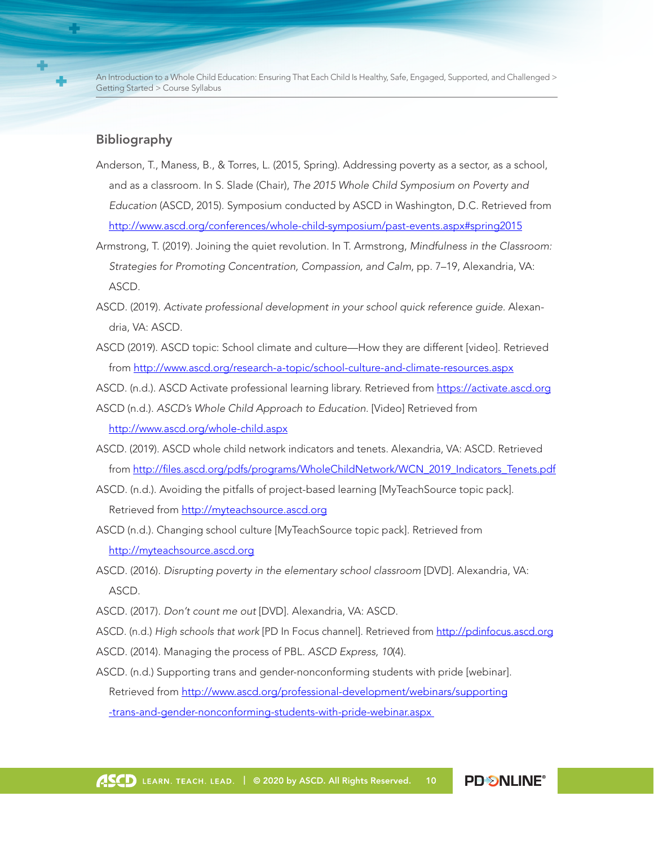#### Bibliography

- Anderson, T., Maness, B., & Torres, L. (2015, Spring). Addressing poverty as a sector, as a school, and as a classroom. In S. Slade (Chair), *The 2015 Whole Child Symposium on Poverty and Education* (ASCD, 2015). Symposium conducted by ASCD in Washington, D.C. Retrieved from http://www.ascd.org/conferences/whole-child-symposium/past-events.aspx#spring2015
- Armstrong, T. (2019). Joining the quiet revolution. In T. Armstrong, *Mindfulness in the Classroom: Strategies for Promoting Concentration, Compassion, and Calm*, pp. 7–19, Alexandria, VA: ASCD.
- ASCD. (2019). *Activate professional development in your school quick reference guide.* Alexandria, VA: ASCD.
- ASCD (2019). ASCD topic: School climate and culture—How they are different [video]. Retrieved from<http://www.ascd.org/research-a-topic/school-culture-and-climate-resources.aspx>
- ASCD. (n.d.). ASCD Activate professional learning library. Retrieved from<https://activate.ascd.org>
- ASCD (n.d.). *ASCD's Whole Child Approach to Education.* [Video] Retrieved from <http://www.ascd.org/whole-child.aspx>
- ASCD. (2019). ASCD whole child network indicators and tenets. Alexandria, VA: ASCD. Retrieved from [http://files.ascd.org/pdfs/programs/WholeChildNetwork/WCN\\_2019\\_Indicators\\_Tenets.pdf](http://files.ascd.org/pdfs/programs/WholeChildNetwork/WCN_2019_Indicators_Tenets.pdf)
- ASCD. (n.d.). Avoiding the pitfalls of project-based learning [MyTeachSource topic pack]. Retrieved from<http://myteachsource.ascd.org>
- ASCD (n.d.). Changing school culture [MyTeachSource topic pack]. Retrieved from <http://myteachsource.ascd.org>
- ASCD. (2016). *Disrupting poverty in the elementary school classroom* [DVD]. Alexandria, VA: ASCD.
- ASCD. (2017). *Don't count me out* [DVD]. Alexandria, VA: ASCD.
- ASCD. (n.d.) *High schools that work* [PD In Focus channel]. Retrieved from <http://pdinfocus.ascd.org>
- ASCD. (2014). Managing the process of PBL. *ASCD Express, 10*(4).
- ASCD. (n.d.) Supporting trans and gender-nonconforming students with pride [webinar]. Retrieved from [http://www.ascd.org/professional-development/webinars/supporting](http://www.ascd.org/professional-development/webinars/supporting-trans-and-gender-nonconforming-students-with-pride-webinar.aspx) [-trans-and-gender-nonconforming-students-with-pride-webinar.aspx](http://www.ascd.org/professional-development/webinars/supporting-trans-and-gender-nonconforming-students-with-pride-webinar.aspx)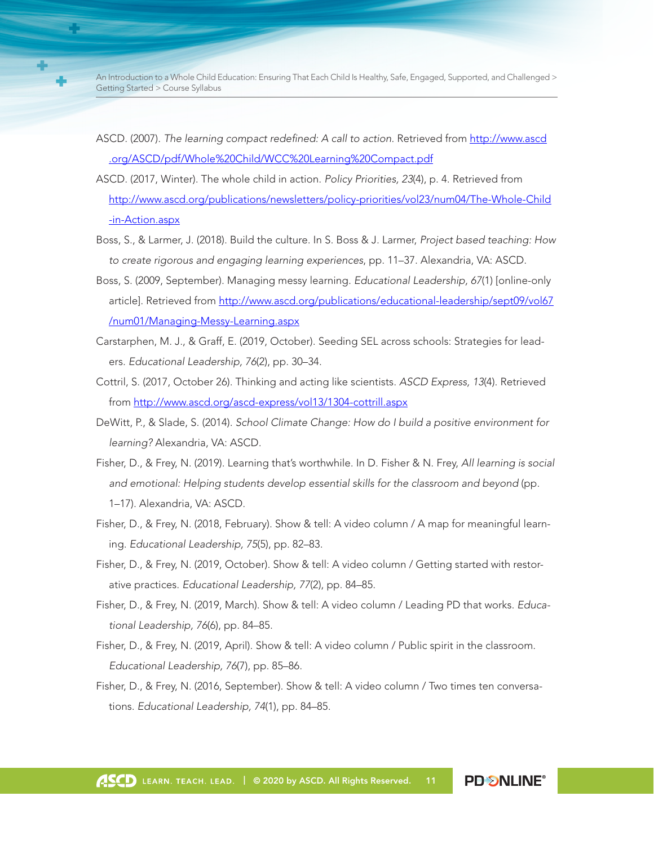- ASCD. (2007). *The learning compact redefined: A call to action.* Retrieved from [http://www.ascd](http://www.ascd.org/ASCD/pdf/Whole%20Child/WCC%20Learning%20Compact.pdf) [.org/ASCD/pdf/Whole%20Child/WCC%20Learning%20Compact.pdf](http://www.ascd.org/ASCD/pdf/Whole%20Child/WCC%20Learning%20Compact.pdf)
- ASCD. (2017, Winter). The whole child in action. *Policy Priorities, 23*(4), p. 4. Retrieved from [http://www.ascd.org/publications/newsletters/policy-priorities/vol23/num04/The-Whole-Child](http://www.ascd.org/publications/newsletters/policy-priorities/vol23/num04/The-Whole-Child-in-Action.aspx) [-in-Action.aspx](http://www.ascd.org/publications/newsletters/policy-priorities/vol23/num04/The-Whole-Child-in-Action.aspx)
- Boss, S., & Larmer, J. (2018). Build the culture. In S. Boss & J. Larmer, *Project based teaching: How to create rigorous and engaging learning experiences*, pp. 11–37. Alexandria, VA: ASCD.
- Boss, S. (2009, September). Managing messy learning. *Educational Leadership, 67*(1) [online-only article]. Retrieved from [http://www.ascd.org/publications/educational-leadership/sept09/vol67](http://www.ascd.org/publications/educational-leadership/sept09/vol67/num01/Managing-Messy-Learning.aspx) [/num01/Managing-Messy-Learning.aspx](http://www.ascd.org/publications/educational-leadership/sept09/vol67/num01/Managing-Messy-Learning.aspx)
- Carstarphen, M. J., & Graff, E. (2019, October). Seeding SEL across schools: Strategies for leaders. *Educational Leadership, 76*(2), pp. 30–34.
- Cottril, S. (2017, October 26). Thinking and acting like scientists. *ASCD Express, 13*(4). Retrieved from<http://www.ascd.org/ascd-express/vol13/1304-cottrill.aspx>
- DeWitt, P., & Slade, S. (2014). *School Climate Change: How do I build a positive environment for learning?* Alexandria, VA: ASCD.
- Fisher, D., & Frey, N. (2019). Learning that's worthwhile. In D. Fisher & N. Frey, *All learning is social and emotional: Helping students develop essential skills for the classroom and beyond* (pp. 1–17). Alexandria, VA: ASCD.
- Fisher, D., & Frey, N. (2018, February). Show & tell: A video column / A map for meaningful learning. *Educational Leadership, 75*(5), pp. 82–83.
- Fisher, D., & Frey, N. (2019, October). Show & tell: A video column / Getting started with restorative practices. *Educational Leadership, 77*(2), pp. 84–85.
- Fisher, D., & Frey, N. (2019, March). Show & tell: A video column / Leading PD that works. *Educational Leadership, 76*(6), pp. 84–85.
- Fisher, D., & Frey, N. (2019, April). Show & tell: A video column / Public spirit in the classroom. *Educational Leadership, 76*(7), pp. 85–86.
- Fisher, D., & Frey, N. (2016, September). Show & tell: A video column / Two times ten conversations. *Educational Leadership, 74*(1), pp. 84–85.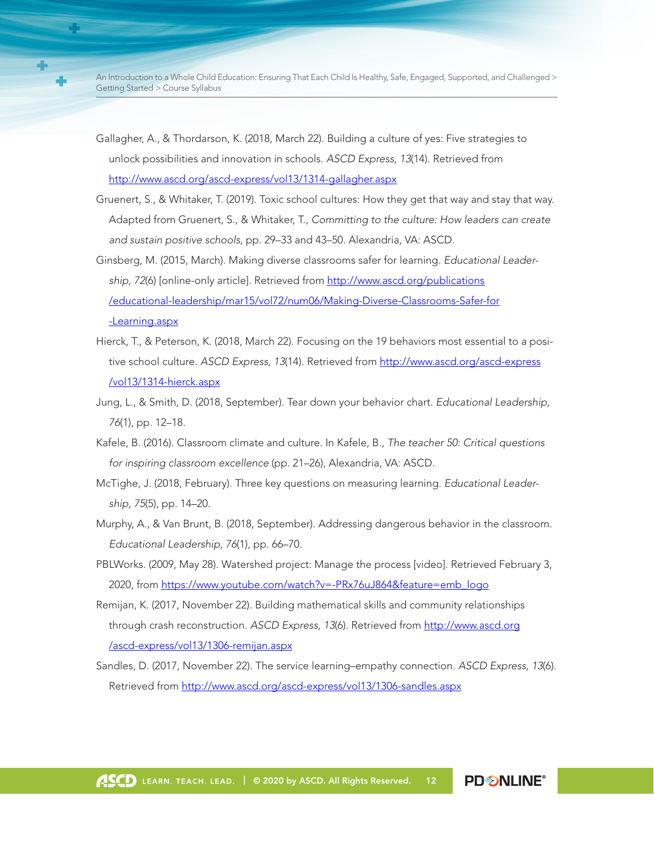- Gallagher, A., & Thordarson, K. (2018, March 22). Building a culture of yes: Five strategies to unlock possibilities and innovation in schools. *ASCD Express, 13*(14). Retrieved from <http://www.ascd.org/ascd-express/vol13/1314-gallagher.aspx>
- Gruenert, S., & Whitaker, T. (2019). Toxic school cultures: How they get that way and stay that way. Adapted from Gruenert, S., & Whitaker, T., *Committing to the culture: How leaders can create and sustain positive schools,* pp. 29–33 and 43–50. Alexandria, VA: ASCD.
- Ginsberg, M. (2015, March). Making diverse classrooms safer for learning. *Educational Leadership, 72*(6) [online-only article]. Retrieved from [http://www.ascd.org/publications](http://www.ascd.org/publications/educational-leadership/mar15/vol72/num06/Making-Diverse-Classrooms-Safer-for-Learning.aspx) [/educational-leadership/mar15/vol72/num06/Making-Diverse-Classrooms-Safer-for](http://www.ascd.org/publications/educational-leadership/mar15/vol72/num06/Making-Diverse-Classrooms-Safer-for-Learning.aspx) [-Learning.aspx](http://www.ascd.org/publications/educational-leadership/mar15/vol72/num06/Making-Diverse-Classrooms-Safer-for-Learning.aspx)
- Hierck, T., & Peterson, K. (2018, March 22). Focusing on the 19 behaviors most essential to a positive school culture. *ASCD Express, 13*(14). Retrieved from [http://www.ascd.org/ascd-express](http://www.ascd.org/ascd-express/vol13/1314-hierck.aspx) [/vol13/1314-hierck.aspx](http://www.ascd.org/ascd-express/vol13/1314-hierck.aspx)
- Jung, L., & Smith, D. (2018, September). Tear down your behavior chart. *Educational Leadership, 76*(1), pp. 12–18.
- Kafele, B. (2016). Classroom climate and culture. In Kafele, B., *The teacher 50: Critical questions for inspiring classroom excellence* (pp. 21–26), Alexandria, VA: ASCD.
- McTighe, J. (2018, February). Three key questions on measuring learning. *Educational Leadership, 75*(5), pp. 14–20.
- Murphy, A., & Van Brunt, B. (2018, September). Addressing dangerous behavior in the classroom. *Educational Leadership, 76*(1), pp. 66–70.
- PBLWorks. (2009, May 28). Watershed project: Manage the process [video]. Retrieved February 3, 2020, from [https://www.youtube.com/watch?v=-PRx76uJ864&feature=emb\\_logo](https://www.youtube.com/watch?v=-PRx76uJ864&feature=emb_logo)
- Remijan, K. (2017, November 22). Building mathematical skills and community relationships through crash reconstruction. *ASCD Express, 13*(6). Retrieved from [http://www.ascd.org](http://www.ascd.org/ascd-express/vol13/1306-remijan.aspx) [/ascd-express/vol13/1306-remijan.aspx](http://www.ascd.org/ascd-express/vol13/1306-remijan.aspx)
- Sandles, D. (2017, November 22). The service learning–empathy connection. *ASCD Express, 13*(6). Retrieved from<http://www.ascd.org/ascd-express/vol13/1306-sandles.aspx>